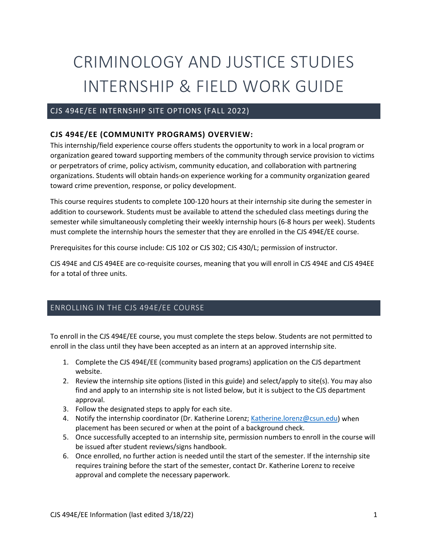# CRIMINOLOGY AND JUSTICE STUDIES INTERNSHIP & FIELD WORK GUIDE

# CJS 494E/EE INTERNSHIP SITE OPTIONS (FALL 2022)

# **CJS 494E/EE (COMMUNITY PROGRAMS) OVERVIEW:**

This internship/field experience course offers students the opportunity to work in a local program or organization geared toward supporting members of the community through service provision to victims or perpetrators of crime, policy activism, community education, and collaboration with partnering organizations. Students will obtain hands-on experience working for a community organization geared toward crime prevention, response, or policy development.

This course requires students to complete 100-120 hours at their internship site during the semester in addition to coursework. Students must be available to attend the scheduled class meetings during the semester while simultaneously completing their weekly internship hours (6-8 hours per week). Students must complete the internship hours the semester that they are enrolled in the CJS 494E/EE course.

Prerequisites for this course include: CJS 102 or CJS 302; CJS 430/L; permission of instructor.

CJS 494E and CJS 494EE are co-requisite courses, meaning that you will enroll in CJS 494E and CJS 494EE for a total of three units.

# ENROLLING IN THE CJS 494E/EE COURSE

To enroll in the CJS 494E/EE course, you must complete the steps below. Students are not permitted to enroll in the class until they have been accepted as an intern at an approved internship site.

- 1. Complete the CJS 494E/EE (community based programs) application on the CJS department website.
- 2. Review the internship site options (listed in this guide) and select/apply to site(s). You may also find and apply to an internship site is not listed below, but it is subject to the CJS department approval.
- 3. Follow the designated steps to apply for each site.
- 4. Notify the internship coordinator (Dr. Katherine Lorenz; [Katherine.lorenz@csun.edu\)](mailto:Katherine.lorenz@csun.edu) when placement has been secured or when at the point of a background check.
- 5. Once successfully accepted to an internship site, permission numbers to enroll in the course will be issued after student reviews/signs handbook.
- 6. Once enrolled, no further action is needed until the start of the semester. If the internship site requires training before the start of the semester, contact Dr. Katherine Lorenz to receive approval and complete the necessary paperwork.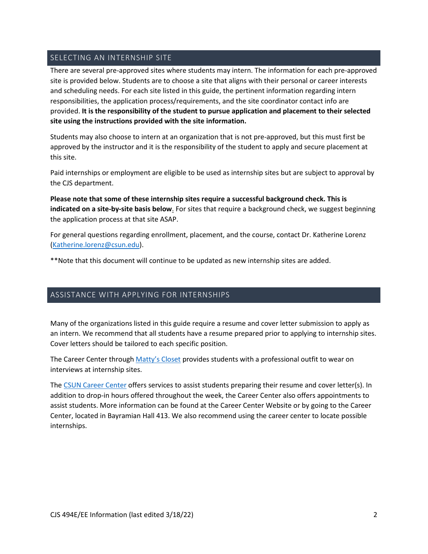# SELECTING AN INTERNSHIP SITE

There are several pre-approved sites where students may intern. The information for each pre-approved site is provided below. Students are to choose a site that aligns with their personal or career interests and scheduling needs. For each site listed in this guide, the pertinent information regarding intern responsibilities, the application process/requirements, and the site coordinator contact info are provided. **It is the responsibility of the student to pursue application and placement to their selected site using the instructions provided with the site information.** 

Students may also choose to intern at an organization that is not pre-approved, but this must first be approved by the instructor and it is the responsibility of the student to apply and secure placement at this site.

Paid internships or employment are eligible to be used as internship sites but are subject to approval by the CJS department.

**Please note that some of these internship sites require a successful background check. This is indicated on a site-by-site basis below**. For sites that require a background check, we suggest beginning the application process at that site ASAP.

For general questions regarding enrollment, placement, and the course, contact Dr. Katherine Lorenz [\(Katherine.lorenz@csun.edu\)](mailto:Katherine.lorenz@csun.edu).

\*\*Note that this document will continue to be updated as new internship sites are added.

## ASSISTANCE WITH APPLYING FOR INTERNSHIPS

Many of the organizations listed in this guide require a resume and cover letter submission to apply as an intern. We recommend that all students have a resume prepared prior to applying to internship sites. Cover letters should be tailored to each specific position.

The Career Center through [Matty's Closet](https://www.csun.edu/career/mattys-closet) provides students with a professional outfit to wear on interviews at internship sites.

The [CSUN Career Center](https://www.csun.edu/career) offers services to assist students preparing their resume and cover letter(s). In addition to drop-in hours offered throughout the week, the Career Center also offers appointments to assist students. More information can be found at the Career Center Website or by going to the Career Center, located in Bayramian Hall 413. We also recommend using the career center to locate possible internships.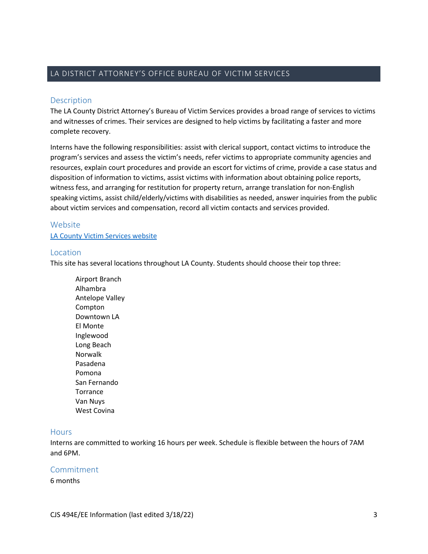# LA DISTRICT ATTORNEY'S OFFICE BUREAU OF VICTIM SERVICES

#### Description

The LA County District Attorney's Bureau of Victim Services provides a broad range of services to victims and witnesses of crimes. Their services are designed to help victims by facilitating a faster and more complete recovery.

Interns have the following responsibilities: assist with clerical support, contact victims to introduce the program's services and assess the victim's needs, refer victims to appropriate community agencies and resources, explain court procedures and provide an escort for victims of crime, provide a case status and disposition of information to victims, assist victims with information about obtaining police reports, witness fess, and arranging for restitution for property return, arrange translation for non-English speaking victims, assist child/elderly/victims with disabilities as needed, answer inquiries from the public about victim services and compensation, record all victim contacts and services provided.

#### Website

[LA County Victim Services website](http://da.lacounty.gov/victims)

#### Location

This site has several locations throughout LA County. Students should choose their top three:

Airport Branch Alhambra Antelope Valley Compton Downtown LA El Monte Inglewood Long Beach Norwalk Pasadena Pomona San Fernando Torrance Van Nuys West Covina

#### **Hours**

Interns are committed to working 16 hours per week. Schedule is flexible between the hours of 7AM and 6PM.

# Commitment

6 months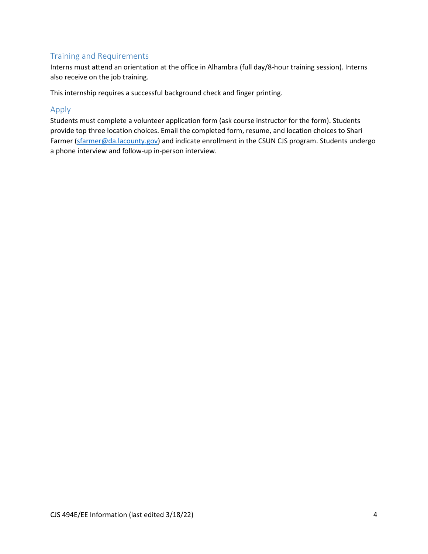# Training and Requirements

Interns must attend an orientation at the office in Alhambra (full day/8-hour training session). Interns also receive on the job training.

This internship requires a successful background check and finger printing.

# Apply

Students must complete a volunteer application form (ask course instructor for the form). Students provide top three location choices. Email the completed form, resume, and location choices to Shari Farmer [\(sfarmer@da.lacounty.gov\)](mailto:sfarmer@da.lacounty.gov) and indicate enrollment in the CSUN CJS program. Students undergo a phone interview and follow-up in-person interview.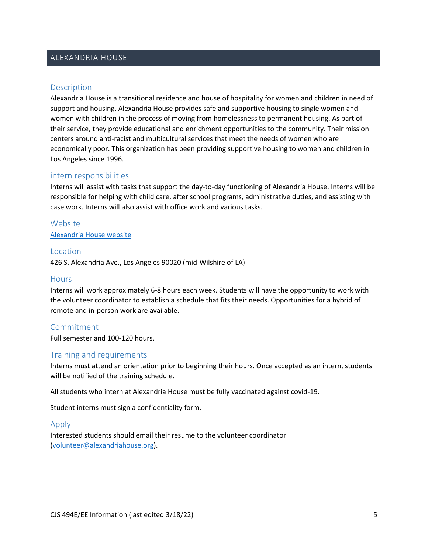# ALEXANDRIA HOUSE

#### **Description**

Alexandria House is a transitional residence and house of hospitality for women and children in need of support and housing. Alexandria House provides safe and supportive housing to single women and women with children in the process of moving from homelessness to permanent housing. As part of their service, they provide educational and enrichment opportunities to the community. Their mission centers around anti-racist and multicultural services that meet the needs of women who are economically poor. This organization has been providing supportive housing to women and children in Los Angeles since 1996.

#### intern responsibilities

Interns will assist with tasks that support the day-to-day functioning of Alexandria House. Interns will be responsible for helping with child care, after school programs, administrative duties, and assisting with case work. Interns will also assist with office work and various tasks.

# Website [Alexandria House website](https://www.alexandriahouse.org/)

#### Location

426 S. Alexandria Ave., Los Angeles 90020 (mid-Wilshire of LA)

#### **Hours**

Interns will work approximately 6-8 hours each week. Students will have the opportunity to work with the volunteer coordinator to establish a schedule that fits their needs. Opportunities for a hybrid of remote and in-person work are available.

#### Commitment

Full semester and 100-120 hours.

## Training and requirements

Interns must attend an orientation prior to beginning their hours. Once accepted as an intern, students will be notified of the training schedule.

All students who intern at Alexandria House must be fully vaccinated against covid-19.

Student interns must sign a confidentiality form.

#### Apply

Interested students should email their resume to the volunteer coordinator [\(volunteer@alexandriahouse.org\)](mailto:volunteer@alexandriahouse.org).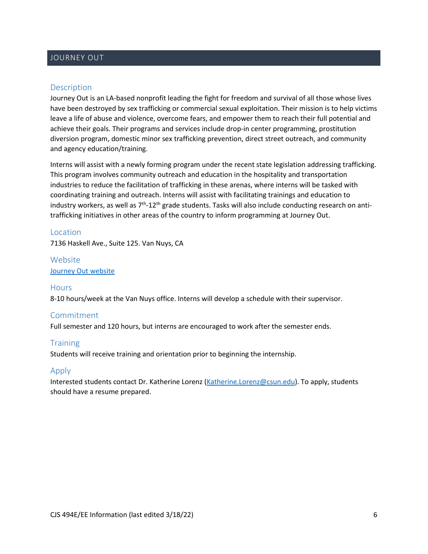# JOURNEY OUT

#### **Description**

Journey Out is an LA-based nonprofit leading the fight for freedom and survival of all those whose lives have been destroyed by sex trafficking or commercial sexual exploitation. Their mission is to help victims leave a life of abuse and violence, overcome fears, and empower them to reach their full potential and achieve their goals. Their programs and services include drop-in center programming, prostitution diversion program, domestic minor sex trafficking prevention, direct street outreach, and community and agency education/training.

Interns will assist with a newly forming program under the recent state legislation addressing trafficking. This program involves community outreach and education in the hospitality and transportation industries to reduce the facilitation of trafficking in these arenas, where interns will be tasked with coordinating training and outreach. Interns will assist with facilitating trainings and education to industry workers, as well as  $7<sup>th</sup>$ -12<sup>th</sup> grade students. Tasks will also include conducting research on antitrafficking initiatives in other areas of the country to inform programming at Journey Out.

#### Location

7136 Haskell Ave., Suite 125. Van Nuys, CA

Website [Journey Out website](http://www.journeyout.org/)

#### **Hours**

8-10 hours/week at the Van Nuys office. Interns will develop a schedule with their supervisor.

## Commitment

Full semester and 120 hours, but interns are encouraged to work after the semester ends.

#### **Training**

Students will receive training and orientation prior to beginning the internship.

#### Apply

Interested students contact Dr. Katherine Lorenz [\(Katherine.Lorenz@csun.edu\)](mailto:Katherine.Lorenz@csun.edu). To apply, students should have a resume prepared.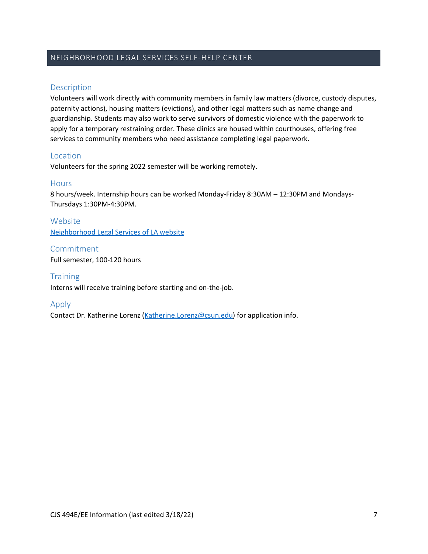# NEIGHBORHOOD LEGAL SERVICES SELF-HELP CENTER

# Description

Volunteers will work directly with community members in family law matters (divorce, custody disputes, paternity actions), housing matters (evictions), and other legal matters such as name change and guardianship. Students may also work to serve survivors of domestic violence with the paperwork to apply for a temporary restraining order. These clinics are housed within courthouses, offering free services to community members who need assistance completing legal paperwork.

# Location

Volunteers for the spring 2022 semester will be working remotely.

## **Hours**

8 hours/week. Internship hours can be worked Monday-Friday 8:30AM – 12:30PM and Mondays-Thursdays 1:30PM-4:30PM.

Website [Neighborhood Legal Services of LA website](https://www.nlsla.org/projects/self-help-centers/)

Commitment Full semester, 100-120 hours

**Training** Interns will receive training before starting and on-the-job.

# Apply

Contact Dr. Katherine Lorenz [\(Katherine.Lorenz@csun.edu\)](mailto:Katherine.Lorenz@csun.edu) for application info.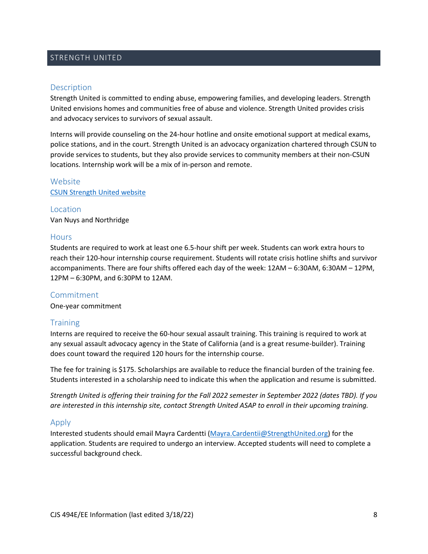# STRENGTH UNITED

#### **Description**

Strength United is committed to ending abuse, empowering families, and developing leaders. Strength United envisions homes and communities free of abuse and violence. Strength United provides crisis and advocacy services to survivors of sexual assault.

Interns will provide counseling on the 24-hour hotline and onsite emotional support at medical exams, police stations, and in the court. Strength United is an advocacy organization chartered through CSUN to provide services to students, but they also provide services to community members at their non-CSUN locations. Internship work will be a mix of in-person and remote.

# Website [CSUN Strength United website](http://www.csun.edu/eisner-education/strength-united)

Location Van Nuys and Northridge

#### **Hours**

Students are required to work at least one 6.5-hour shift per week. Students can work extra hours to reach their 120-hour internship course requirement. Students will rotate crisis hotline shifts and survivor accompaniments. There are four shifts offered each day of the week: 12AM – 6:30AM, 6:30AM – 12PM, 12PM – 6:30PM, and 6:30PM to 12AM.

## Commitment

One-year commitment

## **Training**

Interns are required to receive the 60-hour sexual assault training. This training is required to work at any sexual assault advocacy agency in the State of California (and is a great resume-builder). Training does count toward the required 120 hours for the internship course.

The fee for training is \$175. Scholarships are available to reduce the financial burden of the training fee. Students interested in a scholarship need to indicate this when the application and resume is submitted.

*Strength United is offering their training for the Fall 2022 semester in September 2022 (dates TBD). If you are interested in this internship site, contact Strength United ASAP to enroll in their upcoming training.*

#### Apply

Interested students should email Mayra Cardentti [\(Mayra.Cardentii@StrengthUnited.org\)](mailto:Mayra.Cardentii@StrengthUnited.org) for the application. Students are required to undergo an interview. Accepted students will need to complete a successful background check.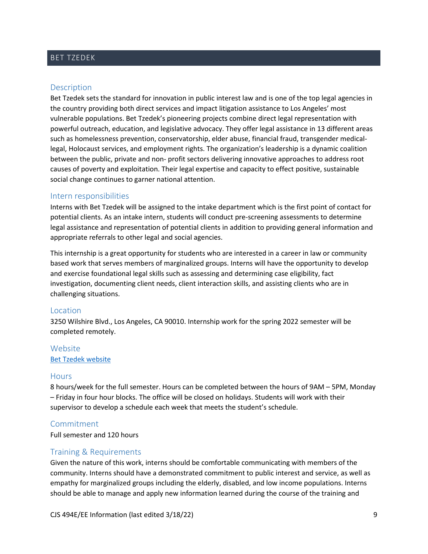# BET TZEDEK

#### **Description**

Bet Tzedek sets the standard for innovation in public interest law and is one of the top legal agencies in the country providing both direct services and impact litigation assistance to Los Angeles' most vulnerable populations. Bet Tzedek's pioneering projects combine direct legal representation with powerful outreach, education, and legislative advocacy. They offer legal assistance in 13 different areas such as homelessness prevention, conservatorship, elder abuse, financial fraud, transgender medicallegal, Holocaust services, and employment rights. The organization's leadership is a dynamic coalition between the public, private and non- profit sectors delivering innovative approaches to address root causes of poverty and exploitation. Their legal expertise and capacity to effect positive, sustainable social change continues to garner national attention.

## Intern responsibilities

Interns with Bet Tzedek will be assigned to the intake department which is the first point of contact for potential clients. As an intake intern, students will conduct pre-screening assessments to determine legal assistance and representation of potential clients in addition to providing general information and appropriate referrals to other legal and social agencies.

This internship is a great opportunity for students who are interested in a career in law or community based work that serves members of marginalized groups. Interns will have the opportunity to develop and exercise foundational legal skills such as assessing and determining case eligibility, fact investigation, documenting client needs, client interaction skills, and assisting clients who are in challenging situations.

#### Location

3250 Wilshire Blvd., Los Angeles, CA 90010. Internship work for the spring 2022 semester will be completed remotely.

## Website [Bet Tzedek website](https://www.bettzedek.org/)

#### **Hours**

8 hours/week for the full semester. Hours can be completed between the hours of 9AM – 5PM, Monday – Friday in four hour blocks. The office will be closed on holidays. Students will work with their supervisor to develop a schedule each week that meets the student's schedule.

#### Commitment

Full semester and 120 hours

#### Training & Requirements

Given the nature of this work, interns should be comfortable communicating with members of the community. Interns should have a demonstrated commitment to public interest and service, as well as empathy for marginalized groups including the elderly, disabled, and low income populations. Interns should be able to manage and apply new information learned during the course of the training and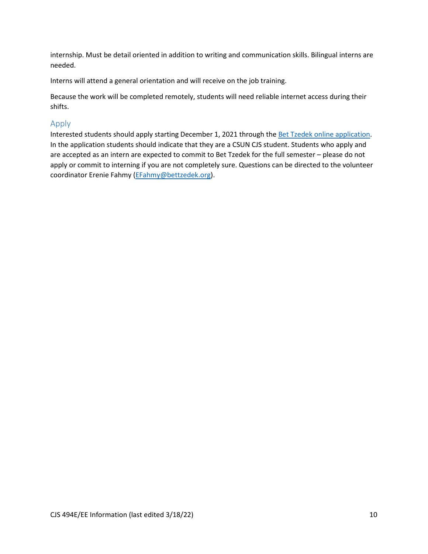internship. Must be detail oriented in addition to writing and communication skills. Bilingual interns are needed.

Interns will attend a general orientation and will receive on the job training.

Because the work will be completed remotely, students will need reliable internet access during their shifts.

# Apply

Interested students should apply starting December 1, 2021 through the [Bet Tzedek online application.](https://www.bettzedek.org/volunteer/volunteer-application/) In the application students should indicate that they are a CSUN CJS student. Students who apply and are accepted as an intern are expected to commit to Bet Tzedek for the full semester – please do not apply or commit to interning if you are not completely sure. Questions can be directed to the volunteer coordinator Erenie Fahmy [\(EFahmy@bettzedek.org\)](mailto:EFahmy@bettzedek.org).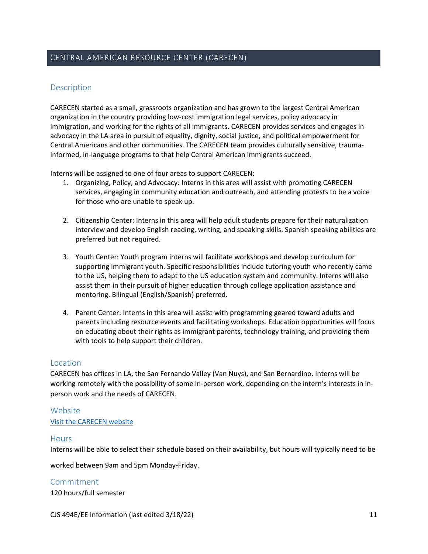# **Description**

CARECEN started as a small, grassroots organization and has grown to the largest Central American organization in the country providing low-cost immigration legal services, policy advocacy in immigration, and working for the rights of all immigrants. CARECEN provides services and engages in advocacy in the LA area in pursuit of equality, dignity, social justice, and political empowerment for Central Americans and other communities. The CARECEN team provides culturally sensitive, traumainformed, in-language programs to that help Central American immigrants succeed.

Interns will be assigned to one of four areas to support CARECEN:

- 1. Organizing, Policy, and Advocacy: Interns in this area will assist with promoting CARECEN services, engaging in community education and outreach, and attending protests to be a voice for those who are unable to speak up.
- 2. Citizenship Center: Interns in this area will help adult students prepare for their naturalization interview and develop English reading, writing, and speaking skills. Spanish speaking abilities are preferred but not required.
- 3. Youth Center: Youth program interns will facilitate workshops and develop curriculum for supporting immigrant youth. Specific responsibilities include tutoring youth who recently came to the US, helping them to adapt to the US education system and community. Interns will also assist them in their pursuit of higher education through college application assistance and mentoring. Bilingual (English/Spanish) preferred.
- 4. Parent Center: Interns in this area will assist with programming geared toward adults and parents including resource events and facilitating workshops. Education opportunities will focus on educating about their rights as immigrant parents, technology training, and providing them with tools to help support their children.

## Location

CARECEN has offices in LA, the San Fernando Valley (Van Nuys), and San Bernardino. Interns will be working remotely with the possibility of some in-person work, depending on the intern's interests in inperson work and the needs of CARECEN.

## **Website**

## [Visit the CARECEN website](https://www.carecen-la.org/)

## **Hours**

Interns will be able to select their schedule based on their availability, but hours will typically need to be

worked between 9am and 5pm Monday-Friday.

Commitment 120 hours/full semester

 $C$ JS 494E/EE Information (last edited  $3/18/22$ ) 11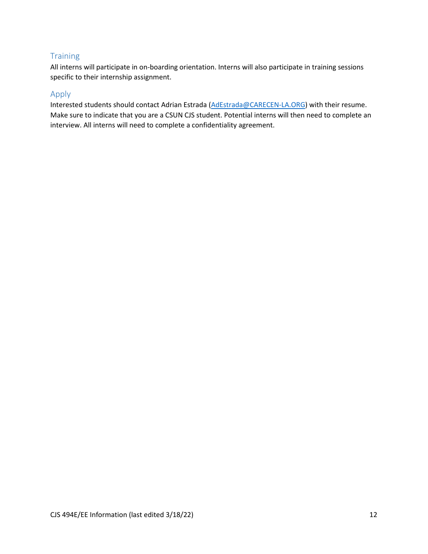# **Training**

All interns will participate in on-boarding orientation. Interns will also participate in training sessions specific to their internship assignment.

# Apply

Interested students should contact Adrian Estrada [\(AdEstrada@CARECEN-LA.ORG\)](mailto:AdEstrada@CARECEN-LA.ORG) with their resume. Make sure to indicate that you are a CSUN CJS student. Potential interns will then need to complete an interview. All interns will need to complete a confidentiality agreement.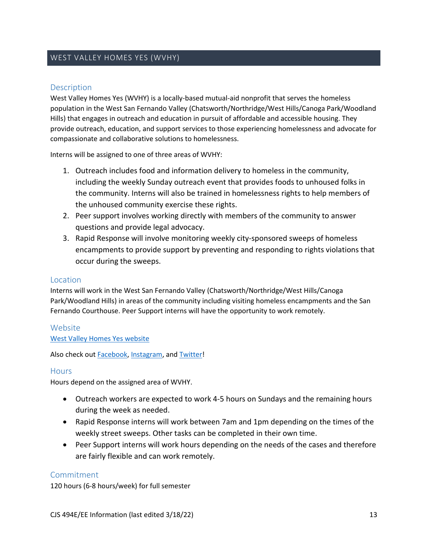# WEST VALLEY HOMES YES (WVHY)

# **Description**

West Valley Homes Yes (WVHY) is a locally-based mutual-aid nonprofit that serves the homeless population in the West San Fernando Valley (Chatsworth/Northridge/West Hills/Canoga Park/Woodland Hills) that engages in outreach and education in pursuit of affordable and accessible housing. They provide outreach, education, and support services to those experiencing homelessness and advocate for compassionate and collaborative solutions to homelessness.

Interns will be assigned to one of three areas of WVHY:

- 1. Outreach includes food and information delivery to homeless in the community, including the weekly Sunday outreach event that provides foods to unhoused folks in the community. Interns will also be trained in homelessness rights to help members of the unhoused community exercise these rights.
- 2. Peer support involves working directly with members of the community to answer questions and provide legal advocacy.
- 3. Rapid Response will involve monitoring weekly city-sponsored sweeps of homeless encampments to provide support by preventing and responding to rights violations that occur during the sweeps.

## Location

Interns will work in the West San Fernando Valley (Chatsworth/Northridge/West Hills/Canoga Park/Woodland Hills) in areas of the community including visiting homeless encampments and the San Fernando Courthouse. Peer Support interns will have the opportunity to work remotely.

## Website

[West Valley Homes Yes website](https://westvalleyhomesyes.site/upcoming-events/) 

Also check out [Facebook,](https://www.facebook.com/WestValleyHomesYES/) [Instagram,](https://www.instagram.com/westvalleyoutreach/?hl=en) and [Twitter!](https://twitter.com/wvh_yes?ref_src=twsrc%5Egoogle%7Ctwcamp%5Eserp%7Ctwgr%5Eauthor)

## **Hours**

Hours depend on the assigned area of WVHY.

- Outreach workers are expected to work 4-5 hours on Sundays and the remaining hours during the week as needed.
- Rapid Response interns will work between 7am and 1pm depending on the times of the weekly street sweeps. Other tasks can be completed in their own time.
- Peer Support interns will work hours depending on the needs of the cases and therefore are fairly flexible and can work remotely.

## Commitment

120 hours (6-8 hours/week) for full semester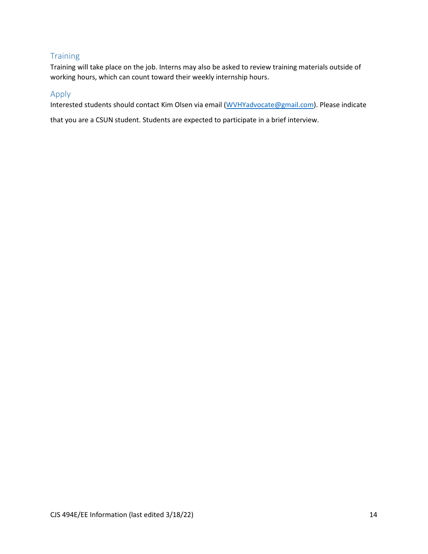# **Training**

Training will take place on the job. Interns may also be asked to review training materials outside of working hours, which can count toward their weekly internship hours.

# Apply

Interested students should contact Kim Olsen via email [\(WVHYadvocate@gmail.com\)](mailto:WVHYadvocate@gmail.com). Please indicate

that you are a CSUN student. Students are expected to participate in a brief interview.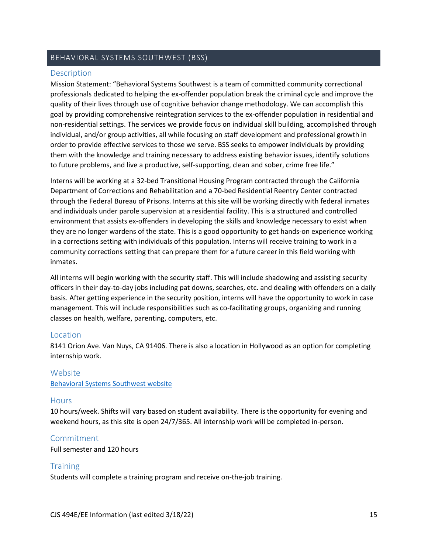# BEHAVIORAL SYSTEMS SOUTHWEST (BSS)

#### **Description**

Mission Statement: "Behavioral Systems Southwest is a team of committed community correctional professionals dedicated to helping the ex-offender population break the criminal cycle and improve the quality of their lives through use of cognitive behavior change methodology. We can accomplish this goal by providing comprehensive reintegration services to the ex-offender population in residential and non-residential settings. The services we provide focus on individual skill building, accomplished through individual, and/or group activities, all while focusing on staff development and professional growth in order to provide effective services to those we serve. BSS seeks to empower individuals by providing them with the knowledge and training necessary to address existing behavior issues, identify solutions to future problems, and live a productive, self-supporting, clean and sober, crime free life."

Interns will be working at a 32-bed Transitional Housing Program contracted through the California Department of Corrections and Rehabilitation and a 70-bed Residential Reentry Center contracted through the Federal Bureau of Prisons. Interns at this site will be working directly with federal inmates and individuals under parole supervision at a residential facility. This is a structured and controlled environment that assists ex-offenders in developing the skills and knowledge necessary to exist when they are no longer wardens of the state. This is a good opportunity to get hands-on experience working in a corrections setting with individuals of this population. Interns will receive training to work in a community corrections setting that can prepare them for a future career in this field working with inmates.

All interns will begin working with the security staff. This will include shadowing and assisting security officers in their day-to-day jobs including pat downs, searches, etc. and dealing with offenders on a daily basis. After getting experience in the security position, interns will have the opportunity to work in case management. This will include responsibilities such as co-facilitating groups, organizing and running classes on health, welfare, parenting, computers, etc.

#### Location

8141 Orion Ave. Van Nuys, CA 91406. There is also a location in Hollywood as an option for completing internship work.

#### Website

[Behavioral Systems Southwest website](https://www.behavioralsystemssouthwest.com/)

#### **Hours**

10 hours/week. Shifts will vary based on student availability. There is the opportunity for evening and weekend hours, as this site is open 24/7/365. All internship work will be completed in-person.

#### Commitment

Full semester and 120 hours

#### **Training**

Students will complete a training program and receive on-the-job training.